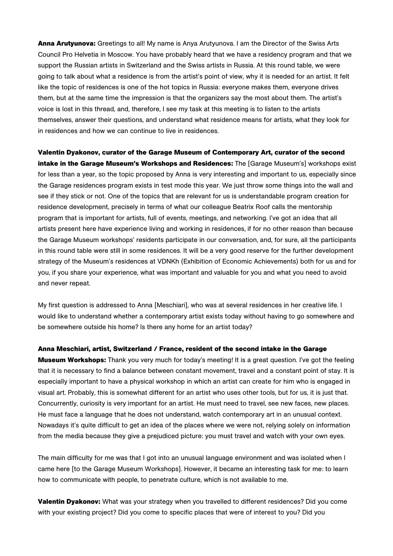**Anna Arutyunova:** Greetings to all! My name is Anya Arutyunova. I am the Director of the Swiss Arts Council Pro Helvetia in Moscow. You have probably heard that we have a residency program and that we support the Russian artists in Switzerland and the Swiss artists in Russia. At this round table, we were going to talk about what a residence is from the artist's point of view, why it is needed for an artist. It felt like the topic of residences is one of the hot topics in Russia: everyone makes them, everyone drives them, but at the same time the impression is that the organizers say the most about them. The artist's voice is lost in this thread, and, therefore, I see my task at this meeting is to listen to the artists themselves, answer their questions, and understand what residence means for artists, what they look for in residences and how we can continue to live in residences.

**Valentin Dyakonov, curator of the Garage Museum of Contemporary Art, curator of the second intake in the Garage Museum's Workshops and Residences:** The [Garage Museum's] workshops exist for less than a year, so the topic proposed by Anna is very interesting and important to us, especially since the Garage residences program exists in test mode this year. We just throw some things into the wall and see if they stick or not. One of the topics that are relevant for us is understandable program creation for residence development, precisely in terms of what our colleague Beatrix Roof calls the mentorship program that is important for artists, full of events, meetings, and networking. I've got an idea that all artists present here have experience living and working in residences, if for no other reason than because the Garage Museum workshops' residents participate in our conversation, and, for sure, all the participants in this round table were still in some residences. It will be a very good reserve for the further development strategy of the Museum's residences at VDNKh (Exhibition of Economic Achievements) both for us and for you, if you share your experience, what was important and valuable for you and what you need to avoid and never repeat.

My first question is addressed to Anna [Meschiari], who was at several residences in her creative life. I would like to understand whether a contemporary artist exists today without having to go somewhere and be somewhere outside his home? Is there any home for an artist today?

**Anna Meschiari, artist, Switzerland / France, resident of the second intake in the Garage** 

**Museum Workshops:** Thank you very much for today's meeting! It is a great question. I've got the feeling that it is necessary to find a balance between constant movement, travel and a constant point of stay. It is especially important to have a physical workshop in which an artist can create for him who is engaged in visual art. Probably, this is somewhat different for an artist who uses other tools, but for us, it is just that. Concurrently, curiosity is very important for an artist. He must need to travel, see new faces, new places. He must face a language that he does not understand, watch contemporary art in an unusual context. Nowadays it's quite difficult to get an idea of the places where we were not, relying solely on information from the media because they give a prejudiced picture: you must travel and watch with your own eyes.

The main difficulty for me was that I got into an unusual language environment and was isolated when I came here [to the Garage Museum Workshops]. However, it became an interesting task for me: to learn how to communicate with people, to penetrate culture, which is not available to me.

**Valentin Dyakonov:** What was your strategy when you travelled to different residences? Did you come with your existing project? Did you come to specific places that were of interest to you? Did you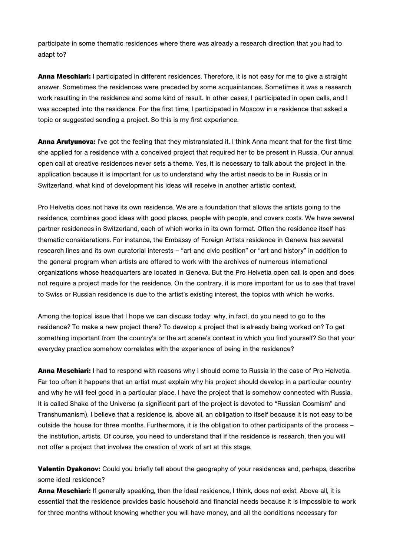participate in some thematic residences where there was already a research direction that you had to adapt to?

**Anna Meschiari:** I participated in different residences. Therefore, it is not easy for me to give a straight answer. Sometimes the residences were preceded by some acquaintances. Sometimes it was a research work resulting in the residence and some kind of result. In other cases, I participated in open calls, and I was accepted into the residence. For the first time, I participated in Moscow in a residence that asked a topic or suggested sending a project. So this is my first experience.

**Anna Arutyunova:** I've got the feeling that they mistranslated it. I think Anna meant that for the first time she applied for a residence with a conceived project that required her to be present in Russia. Our annual open call at creative residences never sets a theme. Yes, it is necessary to talk about the project in the application because it is important for us to understand why the artist needs to be in Russia or in Switzerland, what kind of development his ideas will receive in another artistic context.

Pro Helvetia does not have its own residence. We are a foundation that allows the artists going to the residence, combines good ideas with good places, people with people, and covers costs. We have several partner residences in Switzerland, each of which works in its own format. Often the residence itself has thematic considerations. For instance, the Embassy of Foreign Artists residence in Geneva has several research lines and its own curatorial interests – "art and civic position" or "art and history" in addition to the general program when artists are offered to work with the archives of numerous international organizations whose headquarters are located in Geneva. But the Pro Helvetia open call is open and does not require a project made for the residence. On the contrary, it is more important for us to see that travel to Swiss or Russian residence is due to the artist's existing interest, the topics with which he works.

Among the topical issue that I hope we can discuss today: why, in fact, do you need to go to the residence? To make a new project there? To develop a project that is already being worked on? To get something important from the country's or the art scene's context in which you find yourself? So that your everyday practice somehow correlates with the experience of being in the residence?

**Anna Meschiari:** I had to respond with reasons why I should come to Russia in the case of Pro Helvetia. Far too often it happens that an artist must explain why his project should develop in a particular country and why he will feel good in a particular place. I have the project that is somehow connected with Russia. It is called Shake of the Universe (a significant part of the project is devoted to "Russian Сosmism" and Transhumanism). I believe that a residence is, above all, an obligation to itself because it is not easy to be outside the house for three months. Furthermore, it is the obligation to other participants of the process – the institution, artists. Of course, you need to understand that if the residence is research, then you will not offer a project that involves the creation of work of art at this stage.

**Valentin Dyakonov:** Could you briefly tell about the geography of your residences and, perhaps, describe some ideal residence?

**Anna Meschiari:** If generally speaking, then the ideal residence, I think, does not exist. Above all, it is essential that the residence provides basic household and financial needs because it is impossible to work for three months without knowing whether you will have money, and all the conditions necessary for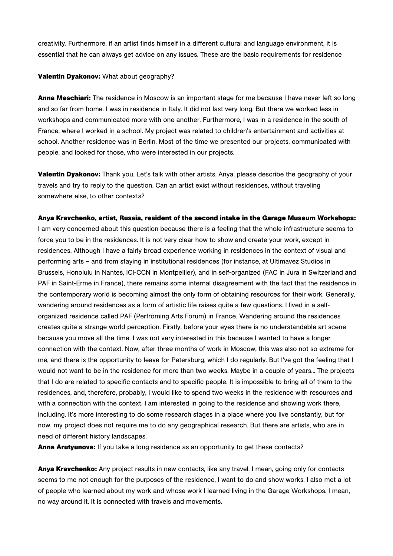creativity. Furthermore, if an artist finds himself in a different cultural and language environment, it is essential that he can always get advice on any issues. These are the basic requirements for residence

## **Valentin Dyakonov:** What about geography?

**Anna Meschiari:** The residence in Moscow is an important stage for me because I have never left so long and so far from home. I was in residence in Italy. It did not last very long. But there we worked less in workshops and communicated more with one another. Furthermore, I was in a residence in the south of France, where I worked in a school. My project was related to children's entertainment and activities at school. Another residence was in Berlin. Most of the time we presented our projects, communicated with people, and looked for those, who were interested in our projects.

**Valentin Dyakonov:** Thank you. Let's talk with other artists. Anya, please describe the geography of your travels and try to reply to the question. Can an artist exist without residences, without traveling somewhere else, to other contexts?

# **Anya Kravchenko, artist, Russia, resident of the second intake in the Garage Museum Workshops:**

I am very concerned about this question because there is a feeling that the whole infrastructure seems to force you to be in the residences. It is not very clear how to show and create your work, except in residences. Although I have a fairly broad experience working in residences in the context of visual and performing arts – and from staying in institutional residences (for instance, at Ultimavez Studios in Brussels, Honolulu in Nantes, ICI-CCN in Montpellier), and in self-organized (FAC in Jura in Switzerland and PAF in Saint-Erme in France), there remains some internal disagreement with the fact that the residence in the contemporary world is becoming almost the only form of obtaining resources for their work. Generally, wandering around residences as a form of artistic life raises quite a few questions. I lived in a selforganized residence called PAF (Perfroming Arts Forum) in France. Wandering around the residences creates quite a strange world perception. Firstly, before your eyes there is no understandable art scene because you move all the time. I was not very interested in this because I wanted to have a longer connection with the context. Now, after three months of work in Moscow, this was also not so extreme for me, and there is the opportunity to leave for Petersburg, which I do regularly. But I've got the feeling that I would not want to be in the residence for more than two weeks. Maybe in a couple of years... The projects that I do are related to specific contacts and to specific people. It is impossible to bring all of them to the residences, and, therefore, probably, I would like to spend two weeks in the residence with resources and with a connection with the context. I am interested in going to the residence and showing work there, including. It's more interesting to do some research stages in a place where you live constantly, but for now, my project does not require me to do any geographical research. But there are artists, who are in need of different history landscapes.

**Anna Arutyunova:** If you take a long residence as an opportunity to get these contacts?

**Anya Kravchenko:** Any project results in new contacts, like any travel. I mean, going only for contacts seems to me not enough for the purposes of the residence, I want to do and show works. I also met a lot of people who learned about my work and whose work I learned living in the Garage Workshops. I mean, no way around it. It is connected with travels and movements.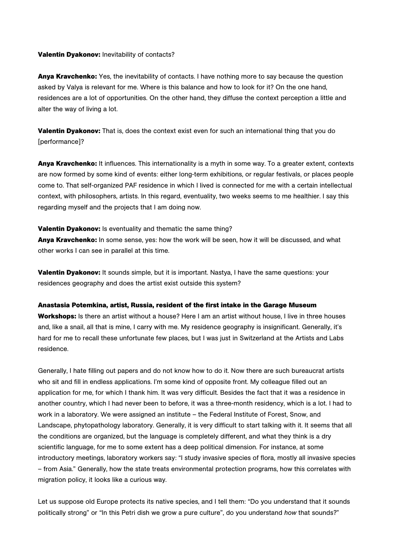## **Valentin Dyakonov:** Inevitability of contacts?

**Anya Kravchenko:** Yes, the inevitability of contacts. I have nothing more to say because the question asked by Valya is relevant for me. Where is this balance and how to look for it? On the one hand, residences are a lot of opportunities. On the other hand, they diffuse the context perception a little and alter the way of living a lot.

**Valentin Dyakonov:** That is, does the context exist even for such an international thing that you do [performance]?

**Anya Kravchenko:** It influences. This internationality is a myth in some way. To a greater extent, contexts are now formed by some kind of events: either long-term exhibitions, or regular festivals, or places people come to. That self-organized PAF residence in which I lived is connected for me with a certain intellectual context, with philosophers, artists. In this regard, eventuality, two weeks seems to me healthier. I say this regarding myself and the projects that I am doing now.

## **Valentin Dyakonov:** Is eventuality and thematic the same thing?

**Anya Kravchenko:** In some sense, yes: how the work will be seen, how it will be discussed, and what other works I can see in parallel at this time.

**Valentin Dyakonov:** It sounds simple, but it is important. Nastya, I have the same questions: your residences geography and does the artist exist outside this system?

#### **Anastasia Potemkina, artist, Russia, resident of the first intake in the Garage Museum**

**Workshops:** Is there an artist without a house? Here I am an artist without house, I live in three houses and, like a snail, all that is mine, I carry with me. My residence geography is insignificant. Generally, it's hard for me to recall these unfortunate few places, but I was just in Switzerland at the Artists and Labs residence.

Generally, I hate filling out papers and do not know how to do it. Now there are such bureaucrat artists who sit and fill in endless applications. I'm some kind of opposite front. My colleague filled out an application for me, for which I thank him. It was very difficult. Besides the fact that it was a residence in another country, which I had never been to before, it was a three-month residency, which is a lot. I had to work in a laboratory. We were assigned an institute – the Federal Institute of Forest, Snow, and Landscape, phytopathology laboratory. Generally, it is very difficult to start talking with it. It seems that all the conditions are organized, but the language is completely different, and what they think is a dry scientific language, for me to some extent has a deep political dimension. For instance, at some introductory meetings, laboratory workers say: "I study invasive species of flora, mostly all invasive species – from Asia." Generally, how the state treats environmental protection programs, how this correlates with migration policy, it looks like a curious way.

Let us suppose old Europe protects its native species, and I tell them: "Do you understand that it sounds politically strong" or "In this Petri dish we grow a pure culture", do you understand *how* that sounds?"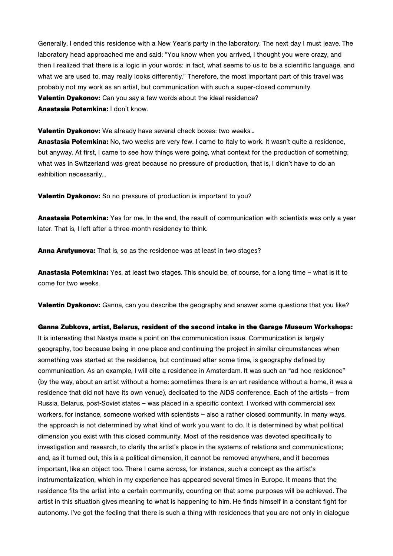Generally, I ended this residence with a New Year's party in the laboratory. The next day I must leave. The laboratory head approached me and said: "You know when you arrived, I thought you were crazy, and then I realized that there is a logic in your words: in fact, what seems to us to be a scientific language, and what we are used to, may really looks differently." Therefore, the most important part of this travel was probably not my work as an artist, but communication with such a super-closed community. **Valentin Dyakonov:** Can you say a few words about the ideal residence? **Anastasia Potemkina:** I don't know.

**Valentin Dyakonov:** We already have several check boxes: two weeks...

**Anastasia Potemkina:** No, two weeks are very few. I came to Italy to work. It wasn't quite a residence, but anyway. At first, I came to see how things were going, what context for the production of something; what was in Switzerland was great because no pressure of production, that is, I didn't have to do an exhibition necessarily...

**Valentin Dyakonov:** So no pressure of production is important to you?

**Anastasia Potemkina:** Yes for me. In the end, the result of communication with scientists was only a year later. That is, I left after a three-month residency to think.

**Anna Arutyunova:** That is, so as the residence was at least in two stages?

**Anastasia Potemkina:** Yes, at least two stages. This should be, of course, for a long time – what is it to come for two weeks.

**Valentin Dyakonov:** Ganna, can you describe the geography and answer some questions that you like?

**Ganna Zubkova, artist, Belarus, resident of the second intake in the Garage Museum Workshops:** It is interesting that Nastya made a point on the communication issue. Communication is largely geography, too because being in one place and continuing the project in similar circumstances when something was started at the residence, but continued after some time, is geography defined by communication. As an example, I will cite a residence in Amsterdam. It was such an "ad hoc residence" (by the way, about an artist without a home: sometimes there is an art residence without a home, it was a residence that did not have its own venue), dedicated to the AIDS conference. Each of the artists – from Russia, Belarus, post-Soviet states – was placed in a specific context. I worked with commercial sex workers, for instance, someone worked with scientists – also a rather closed community. In many ways, the approach is not determined by what kind of work you want to do. It is determined by what political dimension you exist with this closed community. Most of the residence was devoted specifically to investigation and research, to clarify the artist's place in the systems of relations and communications; and, as it turned out, this is a political dimension, it cannot be removed anywhere, and it becomes important, like an object too. There I came across, for instance, such a concept as the artist's instrumentalization, which in my experience has appeared several times in Europe. It means that the residence fits the artist into a certain community, counting on that some purposes will be achieved. The artist in this situation gives meaning to what is happening to him. He finds himself in a constant fight for autonomy. I've got the feeling that there is such a thing with residences that you are not only in dialogue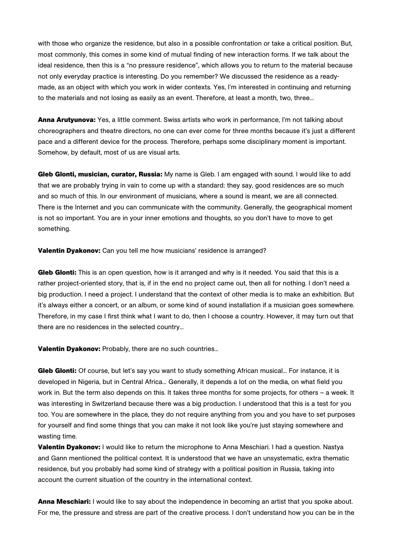with those who organize the residence, but also in a possible confrontation or take a critical position. But, most commonly, this comes in some kind of mutual finding of new interaction forms. If we talk about the ideal residence, then this is a "no pressure residence", which allows you to return to the material because not only everyday practice is interesting. Do you remember? We discussed the residence as a readymade, as an object with which you work in wider contexts. Yes, I'm interested in continuing and returning to the materials and not losing as easily as an event. Therefore, at least a month, two, three...

**Anna Arutyunova:** Yes, a little comment. Swiss artists who work in performance, I'm not talking about choreographers and theatre directors, no one can ever come for three months because it's just a different pace and a different device for the process. Therefore, perhaps some disciplinary moment is important. Somehow, by default, most of us are visual arts.

**Gleb Glonti, musician, curator, Russia:** My name is Gleb. I am engaged with sound. I would like to add that we are probably trying in vain to come up with a standard: they say, good residences are so much and so much of this. In our environment of musicians, where a sound is meant, we are all connected. There is the Internet and you can communicate with the community. Generally, the geographical moment is not so important. You are in your inner emotions and thoughts, so you don't have to move to get something.

**Valentin Dyakonov:** Can you tell me how musicians' residence is arranged?

**Gleb Glonti:** This is an open question, how is it arranged and why is it needed. You said that this is a rather project-oriented story, that is, if in the end no project came out, then all for nothing. I don't need a big production. I need a project. I understand that the context of other media is to make an exhibition. But it's always either a concert, or an album, or some kind of sound installation if a musician goes somewhere. Therefore, in my case I first think what I want to do, then I choose a country. However, it may turn out that there are no residences in the selected country...

**Valentin Dyakonov:** Probably, there are no such countries...

**Gleb Glonti:** Of course, but let's say you want to study something African musical... For instance, it is developed in Nigeria, but in Central Africa... Generally, it depends a lot on the media, on what field you work in. But the term also depends on this. It takes three months for some projects, for others – a week. It was interesting in Switzerland because there was a big production. I understood that this is a test for you too. You are somewhere in the place, they do not require anything from you and you have to set purposes for yourself and find some things that you can make it not look like you're just staying somewhere and wasting time.

**Valentin Dyakonov:** I would like to return the microphone to Anna Meschiari. I had a question. Nastya and Gann mentioned the political context. It is understood that we have an unsystematic, extra thematic residence, but you probably had some kind of strategy with a political position in Russia, taking into account the current situation of the country in the international context.

**Anna Meschiari:** I would like to say about the independence in becoming an artist that you spoke about. For me, the pressure and stress are part of the creative process. I don't understand how you can be in the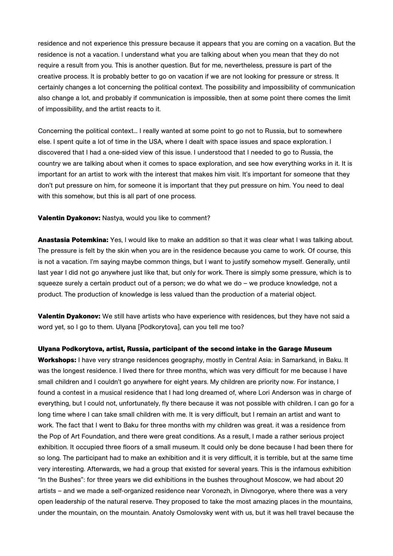residence and not experience this pressure because it appears that you are coming on a vacation. But the residence is not a vacation. I understand what you are talking about when you mean that they do not require a result from you. This is another question. But for me, nevertheless, pressure is part of the creative process. It is probably better to go on vacation if we are not looking for pressure or stress. It certainly changes a lot concerning the political context. The possibility and impossibility of communication also change a lot, and probably if communication is impossible, then at some point there comes the limit of impossibility, and the artist reacts to it.

Concerning the political context... I really wanted at some point to go not to Russia, but to somewhere else. I spent quite a lot of time in the USA, where I dealt with space issues and space exploration. I discovered that I had a one-sided view of this issue. I understood that I needed to go to Russia, the country we are talking about when it comes to space exploration, and see how everything works in it. It is important for an artist to work with the interest that makes him visit. It's important for someone that they don't put pressure on him, for someone it is important that they put pressure on him. You need to deal with this somehow, but this is all part of one process.

**Valentin Dyakonov:** Nastya, would you like to comment?

**Anastasia Potemkina:** Yes, I would like to make an addition so that it was clear what I was talking about. The pressure is felt by the skin when you are in the residence because you came to work. Of course, this is not a vacation. I'm saying maybe common things, but I want to justify somehow myself. Generally, until last year I did not go anywhere just like that, but only for work. There is simply some pressure, which is to squeeze surely a certain product out of a person; we do what we do – we produce knowledge, not a product. The production of knowledge is less valued than the production of a material object.

**Valentin Dyakonov:** We still have artists who have experience with residences, but they have not said a word yet, so I go to them. Ulyana [Podkorytova], can you tell me too?

**Ulyana Podkorytova, artist, Russia, participant of the second intake in the Garage Museum Workshops:** I have very strange residences geography, mostly in Central Asia: in Samarkand, in Baku. It was the longest residence. I lived there for three months, which was very difficult for me because I have small children and I couldn't go anywhere for eight years. My children are priority now. For instance, I found a contest in a musical residence that I had long dreamed of, where Lori Anderson was in charge of everything, but I could not, unfortunately, fly there because it was not possible with children. I can go for a long time where I can take small children with me. It is very difficult, but I remain an artist and want to work. The fact that I went to Baku for three months with my children was great. it was a residence from the Pop of Art Foundation, and there were great conditions. As a result, I made a rather serious project exhibition. It occupied three floors of a small museum. It could only be done because I had been there for so long. The participant had to make an exhibition and it is very difficult, it is terrible, but at the same time very interesting. Afterwards, we had a group that existed for several years. This is the infamous exhibition "In the Bushes": for three years we did exhibitions in the bushes throughout Moscow, we had about 20 artists – and we made a self-organized residence near Voronezh, in Divnogorye, where there was a very open leadership of the natural reserve. They proposed to take the most amazing places in the mountains, under the mountain, on the mountain. Anatoly Osmolovsky went with us, but it was hell travel because the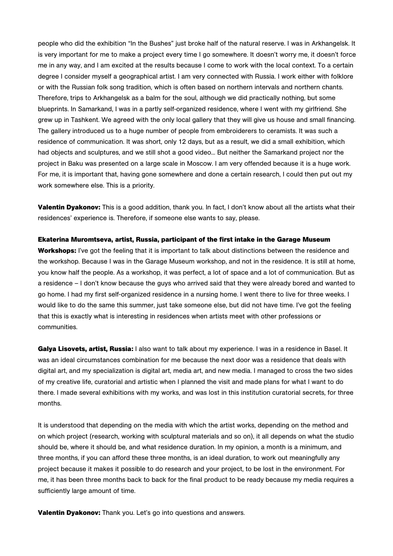people who did the exhibition "In the Bushes" just broke half of the natural reserve. I was in Arkhangelsk. It is very important for me to make a project every time I go somewhere. It doesn't worry me, it doesn't force me in any way, and I am excited at the results because I come to work with the local context. To a certain degree I consider myself a geographical artist. I am very connected with Russia. I work either with folklore or with the Russian folk song tradition, which is often based on northern intervals and northern chants. Therefore, trips to Arkhangelsk as a balm for the soul, although we did practically nothing, but some blueprints. In Samarkand, I was in a partly self-organized residence, where I went with my girlfriend. She grew up in Tashkent. We agreed with the only local gallery that they will give us house and small financing. The gallery introduced us to a huge number of people from embroiderers to ceramists. It was such a residence of communication. It was short, only 12 days, but as a result, we did a small exhibition, which had objects and sculptures, and we still shot a good video... But neither the Samarkand project nor the project in Baku was presented on a large scale in Moscow. I am very offended because it is a huge work. For me, it is important that, having gone somewhere and done a certain research, I could then put out my work somewhere else. This is a priority.

**Valentin Dyakonov:** This is a good addition, thank you. In fact, I don't know about all the artists what their residences' experience is. Therefore, if someone else wants to say, please.

#### **Ekaterina Muromtseva, artist, Russia, participant of the first intake in the Garage Museum**

**Workshops:** I've got the feeling that it is important to talk about distinctions between the residence and the workshop. Because I was in the Garage Museum workshop, and not in the residence. It is still at home, you know half the people. As a workshop, it was perfect, a lot of space and a lot of communication. But as a residence – I don't know because the guys who arrived said that they were already bored and wanted to go home. I had my first self-organized residence in a nursing home. I went there to live for three weeks. I would like to do the same this summer, just take someone else, but did not have time. I've got the feeling that this is exactly what is interesting in residences when artists meet with other professions or communities.

**Galya Lisovets, artist, Russia:** I also want to talk about my experience. I was in a residence in Basel. It was an ideal circumstances combination for me because the next door was a residence that deals with digital art, and my specialization is digital art, media art, and new media. I managed to cross the two sides of my creative life, curatorial and artistic when I planned the visit and made plans for what I want to do there. I made several exhibitions with my works, and was lost in this institution curatorial secrets, for three months.

It is understood that depending on the media with which the artist works, depending on the method and on which project (research, working with sculptural materials and so on), it all depends on what the studio should be, where it should be, and what residence duration. In my opinion, a month is a minimum, and three months, if you can afford these three months, is an ideal duration, to work out meaningfully any project because it makes it possible to do research and your project, to be lost in the environment. For me, it has been three months back to back for the final product to be ready because my media requires a sufficiently large amount of time.

**Valentin Dyakonov:** Thank you. Let's go into questions and answers.